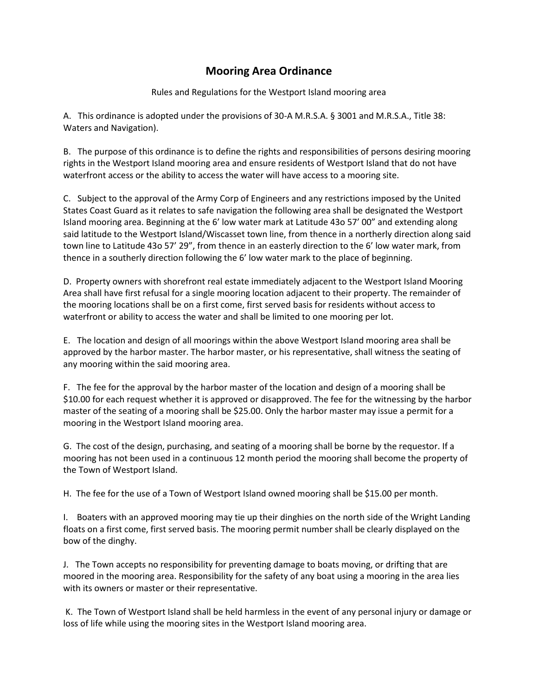## **Mooring Area Ordinance**

Rules and Regulations for the Westport Island mooring area

A. This ordinance is adopted under the provisions of 30-A M.R.S.A. § 3001 and M.R.S.A., Title 38: Waters and Navigation).

B. The purpose of this ordinance is to define the rights and responsibilities of persons desiring mooring rights in the Westport Island mooring area and ensure residents of Westport Island that do not have waterfront access or the ability to access the water will have access to a mooring site.

C. Subject to the approval of the Army Corp of Engineers and any restrictions imposed by the United States Coast Guard as it relates to safe navigation the following area shall be designated the Westport Island mooring area. Beginning at the 6' low water mark at Latitude 43o 57' 00" and extending along said latitude to the Westport Island/Wiscasset town line, from thence in a northerly direction along said town line to Latitude 43o 57' 29", from thence in an easterly direction to the 6' low water mark, from thence in a southerly direction following the 6' low water mark to the place of beginning.

D. Property owners with shorefront real estate immediately adjacent to the Westport Island Mooring Area shall have first refusal for a single mooring location adjacent to their property. The remainder of the mooring locations shall be on a first come, first served basis for residents without access to waterfront or ability to access the water and shall be limited to one mooring per lot.

E. The location and design of all moorings within the above Westport Island mooring area shall be approved by the harbor master. The harbor master, or his representative, shall witness the seating of any mooring within the said mooring area.

F. The fee for the approval by the harbor master of the location and design of a mooring shall be \$10.00 for each request whether it is approved or disapproved. The fee for the witnessing by the harbor master of the seating of a mooring shall be \$25.00. Only the harbor master may issue a permit for a mooring in the Westport Island mooring area.

G. The cost of the design, purchasing, and seating of a mooring shall be borne by the requestor. If a mooring has not been used in a continuous 12 month period the mooring shall become the property of the Town of Westport Island.

H. The fee for the use of a Town of Westport Island owned mooring shall be \$15.00 per month.

I. Boaters with an approved mooring may tie up their dinghies on the north side of the Wright Landing floats on a first come, first served basis. The mooring permit number shall be clearly displayed on the bow of the dinghy.

J. The Town accepts no responsibility for preventing damage to boats moving, or drifting that are moored in the mooring area. Responsibility for the safety of any boat using a mooring in the area lies with its owners or master or their representative.

K. The Town of Westport Island shall be held harmless in the event of any personal injury or damage or loss of life while using the mooring sites in the Westport Island mooring area.